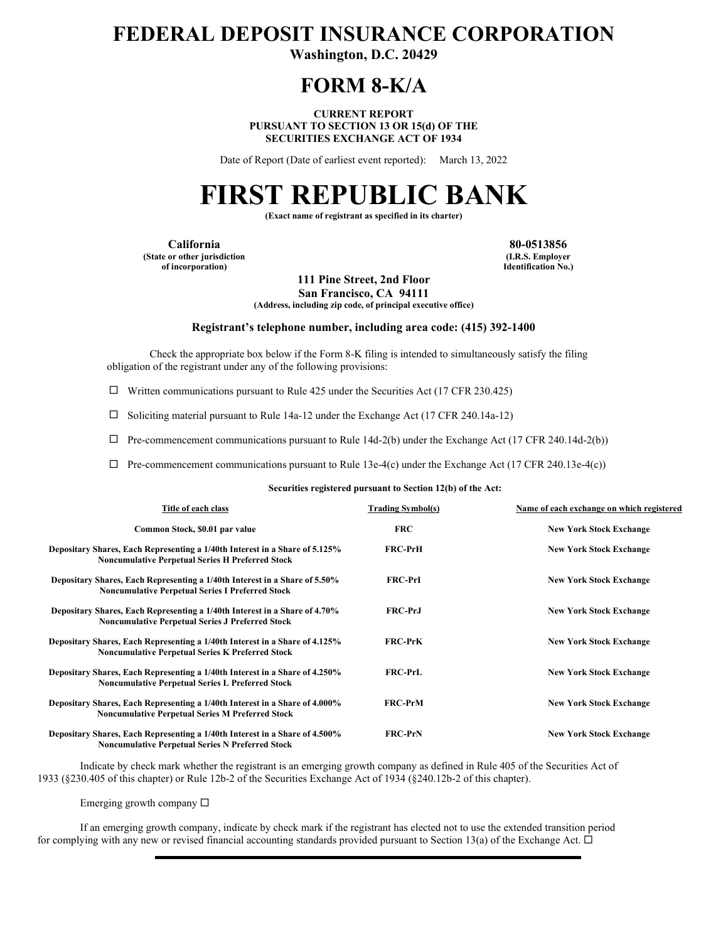# **FEDERAL DEPOSIT INSURANCE CORPORATION**

**Washington, D.C. 20429** 

## **FORM 8-K/A**

**CURRENT REPORT PURSUANT TO SECTION 13 OR 15(d) OF THE SECURITIES EXCHANGE ACT OF 1934** 

Date of Report (Date of earliest event reported): March 13, 2022

# **FIRST REPUBLIC BANK**

**(Exact name of registrant as specified in its charter)** 

**California 80-0513856 (State or other jurisdiction of incorporation)**

**(I.R.S. Employer Identification No.)**

**111 Pine Street, 2nd Floor San Francisco, CA 94111**

**(Address, including zip code, of principal executive office)** 

#### **Registrant's telephone number, including area code: (415) 392-1400**

Check the appropriate box below if the Form 8-K filing is intended to simultaneously satisfy the filing obligation of the registrant under any of the following provisions:

 $\Box$  Written communications pursuant to Rule 425 under the Securities Act (17 CFR 230.425)

 $\Box$  Soliciting material pursuant to Rule 14a-12 under the Exchange Act (17 CFR 240.14a-12)

 $\Box$  Pre-commencement communications pursuant to Rule 14d-2(b) under the Exchange Act (17 CFR 240.14d-2(b))

 $\Box$  Pre-commencement communications pursuant to Rule 13e-4(c) under the Exchange Act (17 CFR 240.13e-4(c))

**Securities registered pursuant to Section 12(b) of the Act:**

| Title of each class                                                                                                                    | <b>Trading Symbol(s)</b> | Name of each exchange on which registered |
|----------------------------------------------------------------------------------------------------------------------------------------|--------------------------|-------------------------------------------|
| Common Stock, \$0.01 par value                                                                                                         | <b>FRC</b>               | <b>New York Stock Exchange</b>            |
| Depositary Shares, Each Representing a 1/40th Interest in a Share of 5.125%<br><b>Noncumulative Perpetual Series H Preferred Stock</b> | <b>FRC-PrH</b>           | <b>New York Stock Exchange</b>            |
| Depositary Shares, Each Representing a 1/40th Interest in a Share of 5.50%<br><b>Noncumulative Perpetual Series I Preferred Stock</b>  | <b>FRC-PrI</b>           | <b>New York Stock Exchange</b>            |
| Depositary Shares, Each Representing a 1/40th Interest in a Share of 4.70%<br><b>Noncumulative Perpetual Series J Preferred Stock</b>  | <b>FRC-PrJ</b>           | <b>New York Stock Exchange</b>            |
| Depositary Shares, Each Representing a 1/40th Interest in a Share of 4.125%<br><b>Noncumulative Perpetual Series K Preferred Stock</b> | <b>FRC-PrK</b>           | <b>New York Stock Exchange</b>            |
| Depositary Shares, Each Representing a 1/40th Interest in a Share of 4.250%<br><b>Noncumulative Perpetual Series L Preferred Stock</b> | <b>FRC-PrL</b>           | <b>New York Stock Exchange</b>            |
| Depositary Shares, Each Representing a 1/40th Interest in a Share of 4.000%<br><b>Noncumulative Perpetual Series M Preferred Stock</b> | <b>FRC-PrM</b>           | <b>New York Stock Exchange</b>            |
| Depositary Shares, Each Representing a 1/40th Interest in a Share of 4.500%<br><b>Noncumulative Pernetual Series N Preferred Stock</b> | <b>FRC-PrN</b>           | <b>New York Stock Exchange</b>            |

Indicate by check mark whether the registrant is an emerging growth company as defined in Rule 405 of the Securities Act of 1933 (§230.405 of this chapter) or Rule 12b-2 of the Securities Exchange Act of 1934 (§240.12b-2 of this chapter).

Emerging growth company  $\Box$ 

If an emerging growth company, indicate by check mark if the registrant has elected not to use the extended transition period for complying with any new or revised financial accounting standards provided pursuant to Section 13(a) of the Exchange Act.  $\Box$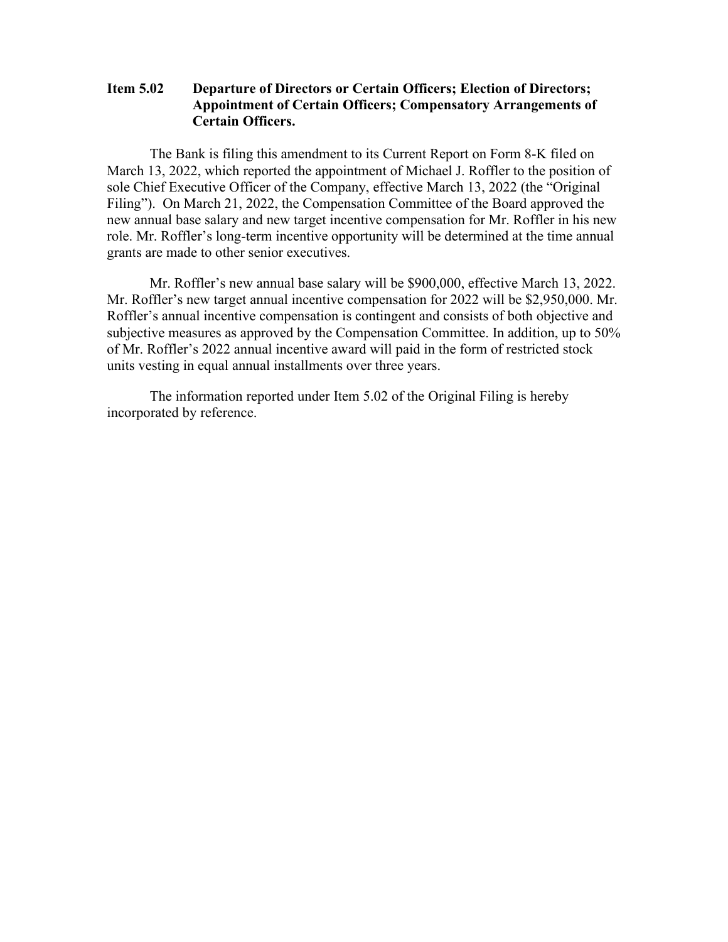### **Item 5.02 Departure of Directors or Certain Officers; Election of Directors; Appointment of Certain Officers; Compensatory Arrangements of Certain Officers.**

The Bank is filing this amendment to its Current Report on Form 8-K filed on March 13, 2022, which reported the appointment of Michael J. Roffler to the position of sole Chief Executive Officer of the Company, effective March 13, 2022 (the "Original Filing"). On March 21, 2022, the Compensation Committee of the Board approved the new annual base salary and new target incentive compensation for Mr. Roffler in his new role. Mr. Roffler's long-term incentive opportunity will be determined at the time annual grants are made to other senior executives.

Mr. Roffler's new annual base salary will be \$900,000, effective March 13, 2022. Mr. Roffler's new target annual incentive compensation for 2022 will be \$2,950,000. Mr. Roffler's annual incentive compensation is contingent and consists of both objective and subjective measures as approved by the Compensation Committee. In addition, up to 50% of Mr. Roffler's 2022 annual incentive award will paid in the form of restricted stock units vesting in equal annual installments over three years.

The information reported under Item 5.02 of the Original Filing is hereby incorporated by reference.